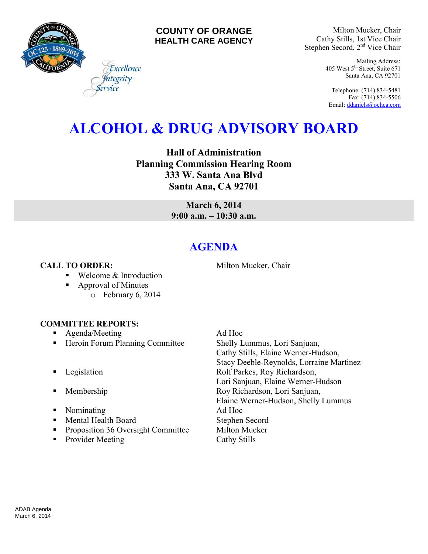

## **COUNTY OF ORANGE HEALTH CARE AGENCY**

Milton Mucker, Chair Cathy Stills, 1st Vice Chair Stephen Secord, 2<sup>nd</sup> Vice Chair

> Mailing Address: 405 West 5th Street, Suite 671 Santa Ana, CA 92701

Telephone: (714) 834-5481 Fax: (714) 834-5506 Email[: ddaniels@ochca.com](mailto:ddaniels@ochca.com)

# **ALCOHOL & DRUG ADVISORY BOARD**

**Hall of Administration Planning Commission Hearing Room 333 W. Santa Ana Blvd Santa Ana, CA 92701** 

> **March 6, 2014 9:00 a.m. – 10:30 a.m.**

## **AGENDA**

**CALL TO ORDER:** Milton Mucker, Chair

■ Welcome & Introduction

Excellence vority

- Approval of Minutes
	- o February 6, 2014

## **COMMITTEE REPORTS:**

- **Agenda/Meeting Ad Hoc**
- Heroin Forum Planning Committee Shelly Lummus, Lori Sanjuan,
- 
- 
- Nominating Ad Hoc
- Mental Health Board Stephen Secord
- Proposition 36 Oversight Committee Milton Mucker
- Provider Meeting Cathy Stills

Cathy Stills, Elaine Werner-Hudson, Stacy Deeble-Reynolds, Lorraine Martinez **Example 3** Legislation **Rolf Parkes, Roy Richardson,** Lori Sanjuan, Elaine Werner-Hudson **Membership Roy Richardson, Lori Sanjuan,** Elaine Werner-Hudson, Shelly Lummus